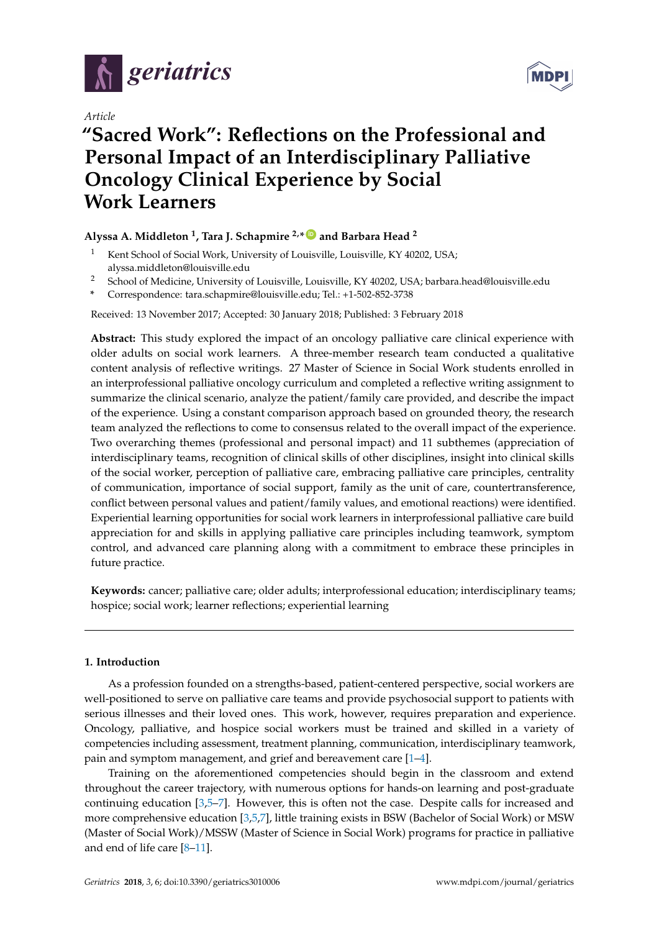

*Article*



# **"Sacred Work": Reflections on the Professional and Personal Impact of an Interdisciplinary Palliative Oncology Clinical Experience by Social Work Learners**

# **Alyssa A. Middleton <sup>1</sup> , Tara J. Schapmire 2,\* [ID](https://orcid.org/0000-0002-8681-8975) and Barbara Head <sup>2</sup>**

- Kent School of Social Work, University of Louisville, Louisville, KY 40202, USA; alyssa.middleton@louisville.edu
- <sup>2</sup> School of Medicine, University of Louisville, Louisville, KY 40202, USA; barbara.head@louisville.edu
- **\*** Correspondence: tara.schapmire@louisville.edu; Tel.: +1-502-852-3738

Received: 13 November 2017; Accepted: 30 January 2018; Published: 3 February 2018

**Abstract:** This study explored the impact of an oncology palliative care clinical experience with older adults on social work learners. A three-member research team conducted a qualitative content analysis of reflective writings. 27 Master of Science in Social Work students enrolled in an interprofessional palliative oncology curriculum and completed a reflective writing assignment to summarize the clinical scenario, analyze the patient/family care provided, and describe the impact of the experience. Using a constant comparison approach based on grounded theory, the research team analyzed the reflections to come to consensus related to the overall impact of the experience. Two overarching themes (professional and personal impact) and 11 subthemes (appreciation of interdisciplinary teams, recognition of clinical skills of other disciplines, insight into clinical skills of the social worker, perception of palliative care, embracing palliative care principles, centrality of communication, importance of social support, family as the unit of care, countertransference, conflict between personal values and patient/family values, and emotional reactions) were identified. Experiential learning opportunities for social work learners in interprofessional palliative care build appreciation for and skills in applying palliative care principles including teamwork, symptom control, and advanced care planning along with a commitment to embrace these principles in future practice.

**Keywords:** cancer; palliative care; older adults; interprofessional education; interdisciplinary teams; hospice; social work; learner reflections; experiential learning

# **1. Introduction**

As a profession founded on a strengths-based, patient-centered perspective, social workers are well-positioned to serve on palliative care teams and provide psychosocial support to patients with serious illnesses and their loved ones. This work, however, requires preparation and experience. Oncology, palliative, and hospice social workers must be trained and skilled in a variety of competencies including assessment, treatment planning, communication, interdisciplinary teamwork, pain and symptom management, and grief and bereavement care [\[1](#page-10-0)[–4\]](#page-11-0).

Training on the aforementioned competencies should begin in the classroom and extend throughout the career trajectory, with numerous options for hands-on learning and post-graduate continuing education [\[3,](#page-11-1)[5](#page-11-2)[–7\]](#page-11-3). However, this is often not the case. Despite calls for increased and more comprehensive education [\[3,](#page-11-1)[5,](#page-11-2)[7\]](#page-11-3), little training exists in BSW (Bachelor of Social Work) or MSW (Master of Social Work)/MSSW (Master of Science in Social Work) programs for practice in palliative and end of life care [\[8](#page-11-4)[–11\]](#page-11-5).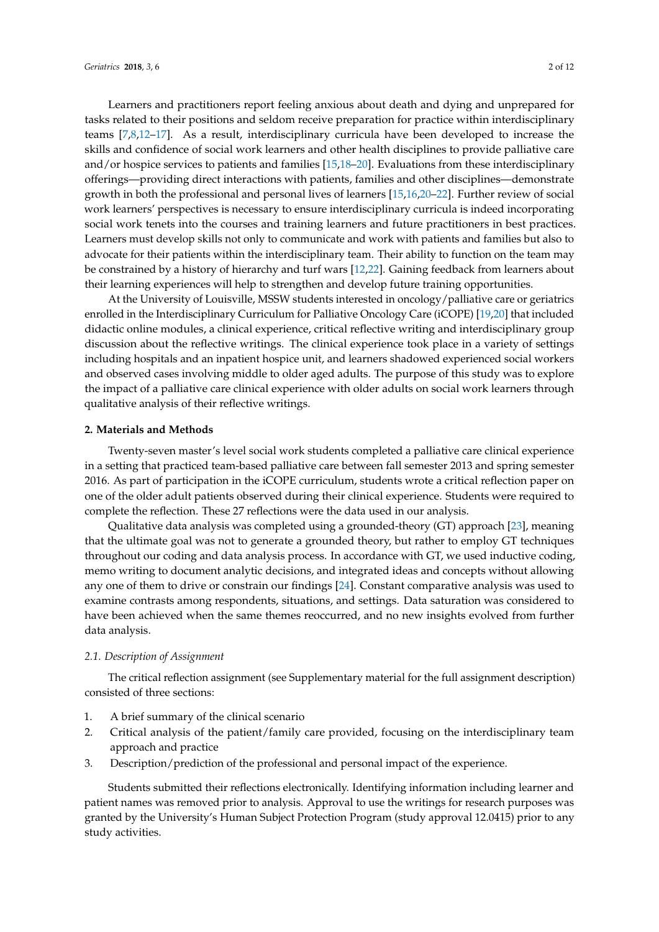Learners and practitioners report feeling anxious about death and dying and unprepared for tasks related to their positions and seldom receive preparation for practice within interdisciplinary teams [\[7,](#page-11-3)[8,](#page-11-4)[12–](#page-11-6)[17\]](#page-11-7). As a result, interdisciplinary curricula have been developed to increase the skills and confidence of social work learners and other health disciplines to provide palliative care and/or hospice services to patients and families [\[15](#page-11-8)[,18](#page-11-9)[–20\]](#page-11-10). Evaluations from these interdisciplinary offerings—providing direct interactions with patients, families and other disciplines—demonstrate growth in both the professional and personal lives of learners [\[15,](#page-11-8)[16,](#page-11-11)[20–](#page-11-10)[22\]](#page-11-12). Further review of social work learners' perspectives is necessary to ensure interdisciplinary curricula is indeed incorporating social work tenets into the courses and training learners and future practitioners in best practices. Learners must develop skills not only to communicate and work with patients and families but also to advocate for their patients within the interdisciplinary team. Their ability to function on the team may be constrained by a history of hierarchy and turf wars [\[12,](#page-11-6)[22\]](#page-11-12). Gaining feedback from learners about their learning experiences will help to strengthen and develop future training opportunities.

At the University of Louisville, MSSW students interested in oncology/palliative care or geriatrics enrolled in the Interdisciplinary Curriculum for Palliative Oncology Care (iCOPE) [\[19,](#page-11-13)[20\]](#page-11-10) that included didactic online modules, a clinical experience, critical reflective writing and interdisciplinary group discussion about the reflective writings. The clinical experience took place in a variety of settings including hospitals and an inpatient hospice unit, and learners shadowed experienced social workers and observed cases involving middle to older aged adults. The purpose of this study was to explore the impact of a palliative care clinical experience with older adults on social work learners through qualitative analysis of their reflective writings.

#### **2. Materials and Methods**

Twenty-seven master's level social work students completed a palliative care clinical experience in a setting that practiced team-based palliative care between fall semester 2013 and spring semester 2016. As part of participation in the iCOPE curriculum, students wrote a critical reflection paper on one of the older adult patients observed during their clinical experience. Students were required to complete the reflection. These 27 reflections were the data used in our analysis.

Qualitative data analysis was completed using a grounded-theory (GT) approach [\[23\]](#page-11-14), meaning that the ultimate goal was not to generate a grounded theory, but rather to employ GT techniques throughout our coding and data analysis process. In accordance with GT, we used inductive coding, memo writing to document analytic decisions, and integrated ideas and concepts without allowing any one of them to drive or constrain our findings [\[24\]](#page-11-15). Constant comparative analysis was used to examine contrasts among respondents, situations, and settings. Data saturation was considered to have been achieved when the same themes reoccurred, and no new insights evolved from further data analysis.

#### *2.1. Description of Assignment*

The critical reflection assignment (see Supplementary material for the full assignment description) consisted of three sections:

- 1. A brief summary of the clinical scenario
- 2. Critical analysis of the patient/family care provided, focusing on the interdisciplinary team approach and practice
- 3. Description/prediction of the professional and personal impact of the experience.

Students submitted their reflections electronically. Identifying information including learner and patient names was removed prior to analysis. Approval to use the writings for research purposes was granted by the University's Human Subject Protection Program (study approval 12.0415) prior to any study activities.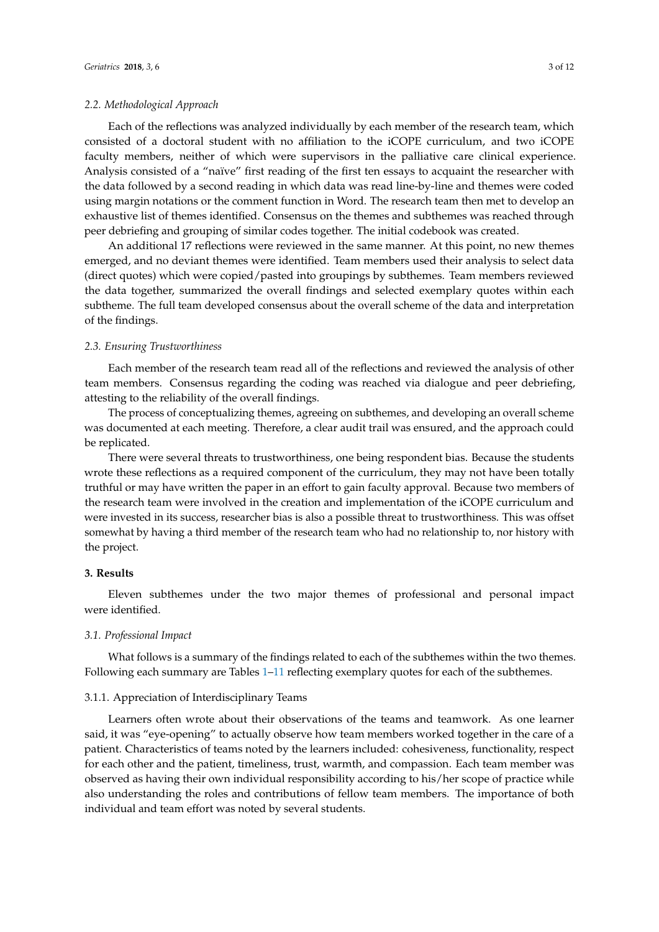## *2.2. Methodological Approach*

Each of the reflections was analyzed individually by each member of the research team, which consisted of a doctoral student with no affiliation to the iCOPE curriculum, and two iCOPE faculty members, neither of which were supervisors in the palliative care clinical experience. Analysis consisted of a "naïve" first reading of the first ten essays to acquaint the researcher with the data followed by a second reading in which data was read line-by-line and themes were coded using margin notations or the comment function in Word. The research team then met to develop an exhaustive list of themes identified. Consensus on the themes and subthemes was reached through peer debriefing and grouping of similar codes together. The initial codebook was created.

An additional 17 reflections were reviewed in the same manner. At this point, no new themes emerged, and no deviant themes were identified. Team members used their analysis to select data (direct quotes) which were copied/pasted into groupings by subthemes. Team members reviewed the data together, summarized the overall findings and selected exemplary quotes within each subtheme. The full team developed consensus about the overall scheme of the data and interpretation of the findings.

## *2.3. Ensuring Trustworthiness*

Each member of the research team read all of the reflections and reviewed the analysis of other team members. Consensus regarding the coding was reached via dialogue and peer debriefing, attesting to the reliability of the overall findings.

The process of conceptualizing themes, agreeing on subthemes, and developing an overall scheme was documented at each meeting. Therefore, a clear audit trail was ensured, and the approach could be replicated.

There were several threats to trustworthiness, one being respondent bias. Because the students wrote these reflections as a required component of the curriculum, they may not have been totally truthful or may have written the paper in an effort to gain faculty approval. Because two members of the research team were involved in the creation and implementation of the iCOPE curriculum and were invested in its success, researcher bias is also a possible threat to trustworthiness. This was offset somewhat by having a third member of the research team who had no relationship to, nor history with the project.

## **3. Results**

Eleven subthemes under the two major themes of professional and personal impact were identified.

#### *3.1. Professional Impact*

What follows is a summary of the findings related to each of the subthemes within the two themes. Following each summary are Tables [1](#page-3-0)[–11](#page-9-0) reflecting exemplary quotes for each of the subthemes.

## 3.1.1. Appreciation of Interdisciplinary Teams

Learners often wrote about their observations of the teams and teamwork. As one learner said, it was "eye-opening" to actually observe how team members worked together in the care of a patient. Characteristics of teams noted by the learners included: cohesiveness, functionality, respect for each other and the patient, timeliness, trust, warmth, and compassion. Each team member was observed as having their own individual responsibility according to his/her scope of practice while also understanding the roles and contributions of fellow team members. The importance of both individual and team effort was noted by several students.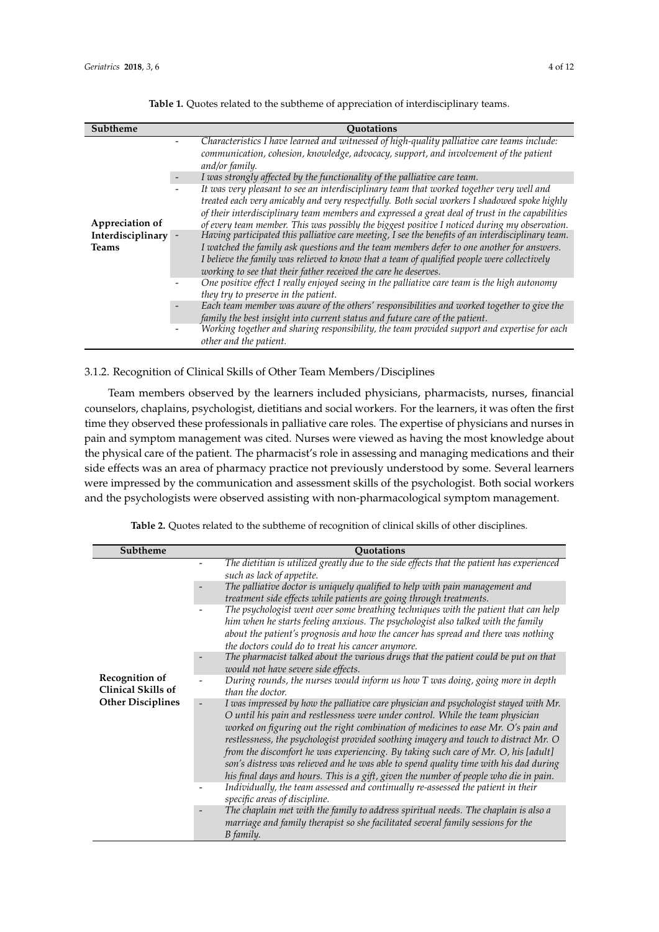<span id="page-3-0"></span>

| Subtheme                                               | <b>Ouotations</b>                                                                                                                                                                                                                                                                                                                                                                                                                                                                                                                                                                                                                                                                                                                                                  |
|--------------------------------------------------------|--------------------------------------------------------------------------------------------------------------------------------------------------------------------------------------------------------------------------------------------------------------------------------------------------------------------------------------------------------------------------------------------------------------------------------------------------------------------------------------------------------------------------------------------------------------------------------------------------------------------------------------------------------------------------------------------------------------------------------------------------------------------|
|                                                        | Characteristics I have learned and witnessed of high-quality palliative care teams include:<br>communication, cohesion, knowledge, advocacy, support, and involvement of the patient<br>and/or family.                                                                                                                                                                                                                                                                                                                                                                                                                                                                                                                                                             |
|                                                        | I was strongly affected by the functionality of the palliative care team.                                                                                                                                                                                                                                                                                                                                                                                                                                                                                                                                                                                                                                                                                          |
| Appreciation of<br>Interdisciplinary -<br><b>Teams</b> | It was very pleasant to see an interdisciplinary team that worked together very well and<br>treated each very amicably and very respectfully. Both social workers I shadowed spoke highly<br>of their interdisciplinary team members and expressed a great deal of trust in the capabilities<br>of every team member. This was possibly the biggest positive I noticed during my observation.<br>Having participated this palliative care meeting, I see the benefits of an interdisciplinary team.<br>I watched the family ask questions and the team members defer to one another for answers.<br>I believe the family was relieved to know that a team of qualified people were collectively<br>working to see that their father received the care he deserves. |
|                                                        | One positive effect I really enjoyed seeing in the palliative care team is the high autonomy<br>they try to preserve in the patient.                                                                                                                                                                                                                                                                                                                                                                                                                                                                                                                                                                                                                               |
|                                                        | Each team member was aware of the others' responsibilities and worked together to give the<br>family the best insight into current status and future care of the patient.                                                                                                                                                                                                                                                                                                                                                                                                                                                                                                                                                                                          |
|                                                        | Working together and sharing responsibility, the team provided support and expertise for each<br>other and the patient.                                                                                                                                                                                                                                                                                                                                                                                                                                                                                                                                                                                                                                            |

**Table 1.** Quotes related to the subtheme of appreciation of interdisciplinary teams.

## 3.1.2. Recognition of Clinical Skills of Other Team Members/Disciplines

Team members observed by the learners included physicians, pharmacists, nurses, financial counselors, chaplains, psychologist, dietitians and social workers. For the learners, it was often the first time they observed these professionals in palliative care roles. The expertise of physicians and nurses in pain and symptom management was cited. Nurses were viewed as having the most knowledge about the physical care of the patient. The pharmacist's role in assessing and managing medications and their side effects was an area of pharmacy practice not previously understood by some. Several learners were impressed by the communication and assessment skills of the psychologist. Both social workers and the psychologists were observed assisting with non-pharmacological symptom management.

| Subtheme                                           | <b>Ouotations</b>                                                                                                                                                                                                                                                                                                                                                                                                                                                                                                                                                                                                                                                                                                                                  |
|----------------------------------------------------|----------------------------------------------------------------------------------------------------------------------------------------------------------------------------------------------------------------------------------------------------------------------------------------------------------------------------------------------------------------------------------------------------------------------------------------------------------------------------------------------------------------------------------------------------------------------------------------------------------------------------------------------------------------------------------------------------------------------------------------------------|
|                                                    | The dietitian is utilized greatly due to the side effects that the patient has experienced<br>such as lack of appetite.                                                                                                                                                                                                                                                                                                                                                                                                                                                                                                                                                                                                                            |
|                                                    | The palliative doctor is uniquely qualified to help with pain management and<br>treatment side effects while patients are going through treatments.                                                                                                                                                                                                                                                                                                                                                                                                                                                                                                                                                                                                |
|                                                    | The psychologist went over some breathing techniques with the patient that can help<br>him when he starts feeling anxious. The psychologist also talked with the family<br>about the patient's prognosis and how the cancer has spread and there was nothing<br>the doctors could do to treat his cancer anymore.                                                                                                                                                                                                                                                                                                                                                                                                                                  |
|                                                    | The pharmacist talked about the various drugs that the patient could be put on that<br>would not have severe side effects.                                                                                                                                                                                                                                                                                                                                                                                                                                                                                                                                                                                                                         |
| <b>Recognition of</b><br><b>Clinical Skills of</b> | During rounds, the nurses would inform us how T was doing, going more in depth<br>than the doctor.                                                                                                                                                                                                                                                                                                                                                                                                                                                                                                                                                                                                                                                 |
| <b>Other Disciplines</b>                           | I was impressed by how the palliative care physician and psychologist stayed with Mr.<br>O until his pain and restlessness were under control. While the team physician<br>worked on figuring out the right combination of medicines to ease Mr. O's pain and<br>restlessness, the psychologist provided soothing imagery and touch to distract Mr. O<br>from the discomfort he was experiencing. By taking such care of Mr. O, his [adult]<br>son's distress was relieved and he was able to spend quality time with his dad during<br>his final days and hours. This is a gift, given the number of people who die in pain.<br>Individually, the team assessed and continually re-assessed the patient in their<br>specific areas of discipline. |
|                                                    | The chaplain met with the family to address spiritual needs. The chaplain is also a<br>marriage and family therapist so she facilitated several family sessions for the<br>B family.                                                                                                                                                                                                                                                                                                                                                                                                                                                                                                                                                               |

**Table 2.** Quotes related to the subtheme of recognition of clinical skills of other disciplines.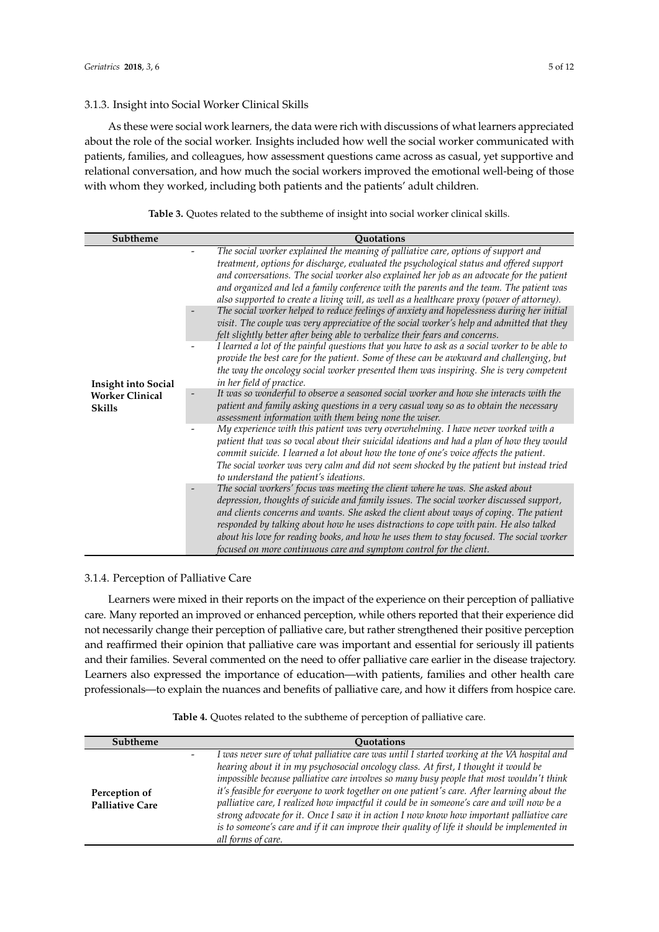## 3.1.3. Insight into Social Worker Clinical Skills

As these were social work learners, the data were rich with discussions of what learners appreciated about the role of the social worker. Insights included how well the social worker communicated with patients, families, and colleagues, how assessment questions came across as casual, yet supportive and relational conversation, and how much the social workers improved the emotional well-being of those with whom they worked, including both patients and the patients' adult children.

| Table 3. Quotes related to the subtheme of insight into social worker clinical skills. |  |
|----------------------------------------------------------------------------------------|--|
|----------------------------------------------------------------------------------------|--|

| Subtheme                                                              | <b>Ouotations</b>                                                                                                                                                                                                                                                                                                                                                                                                                                                                                                                                                                             |
|-----------------------------------------------------------------------|-----------------------------------------------------------------------------------------------------------------------------------------------------------------------------------------------------------------------------------------------------------------------------------------------------------------------------------------------------------------------------------------------------------------------------------------------------------------------------------------------------------------------------------------------------------------------------------------------|
| <b>Insight into Social</b><br><b>Worker Clinical</b><br><b>Skills</b> | The social worker explained the meaning of palliative care, options of support and<br>treatment, options for discharge, evaluated the psychological status and offered support<br>and conversations. The social worker also explained her job as an advocate for the patient<br>and organized and led a family conference with the parents and the team. The patient was<br>also supported to create a living will, as well as a healthcare proxy (power of attorney).                                                                                                                        |
|                                                                       | The social worker helped to reduce feelings of anxiety and hopelessness during her initial<br>visit. The couple was very appreciative of the social worker's help and admitted that they<br>felt slightly better after being able to verbalize their fears and concerns.<br>I learned a lot of the painful questions that you have to ask as a social worker to be able to<br>provide the best care for the patient. Some of these can be awkward and challenging, but<br>the way the oncology social worker presented them was inspiring. She is very competent<br>in her field of practice. |
|                                                                       | It was so wonderful to observe a seasoned social worker and how she interacts with the<br>patient and family asking questions in a very casual way so as to obtain the necessary<br>assessment information with them being none the wiser.                                                                                                                                                                                                                                                                                                                                                    |
|                                                                       | My experience with this patient was very overwhelming. I have never worked with a<br>patient that was so vocal about their suicidal ideations and had a plan of how they would<br>commit suicide. I learned a lot about how the tone of one's voice affects the patient.<br>The social worker was very calm and did not seem shocked by the patient but instead tried<br>to understand the patient's ideations.                                                                                                                                                                               |
|                                                                       | The social workers' focus was meeting the client where he was. She asked about<br>depression, thoughts of suicide and family issues. The social worker discussed support,<br>and clients concerns and wants. She asked the client about ways of coping. The patient<br>responded by talking about how he uses distractions to cope with pain. He also talked<br>about his love for reading books, and how he uses them to stay focused. The social worker<br>focused on more continuous care and symptom control for the client.                                                              |

# 3.1.4. Perception of Palliative Care

Learners were mixed in their reports on the impact of the experience on their perception of palliative care. Many reported an improved or enhanced perception, while others reported that their experience did not necessarily change their perception of palliative care, but rather strengthened their positive perception and reaffirmed their opinion that palliative care was important and essential for seriously ill patients and their families. Several commented on the need to offer palliative care earlier in the disease trajectory. Learners also expressed the importance of education—with patients, families and other health care professionals—to explain the nuances and benefits of palliative care, and how it differs from hospice care.

| <b>Subtheme</b>                         | <b>Ouotations</b>                                                                                                                                                                                                                                                                                                                                                                                                                                                                                                                                                                                                                                                                            |
|-----------------------------------------|----------------------------------------------------------------------------------------------------------------------------------------------------------------------------------------------------------------------------------------------------------------------------------------------------------------------------------------------------------------------------------------------------------------------------------------------------------------------------------------------------------------------------------------------------------------------------------------------------------------------------------------------------------------------------------------------|
| Perception of<br><b>Palliative Care</b> | I was never sure of what palliative care was until I started working at the VA hospital and<br>hearing about it in my psychosocial oncology class. At first, I thought it would be<br>impossible because palliative care involves so many busy people that most wouldn't think<br>it's feasible for everyone to work together on one patient's care. After learning about the<br>palliative care, I realized how impactful it could be in someone's care and will now be a<br>strong advocate for it. Once I saw it in action I now know how important palliative care<br>is to someone's care and if it can improve their quality of life it should be implemented in<br>all forms of care. |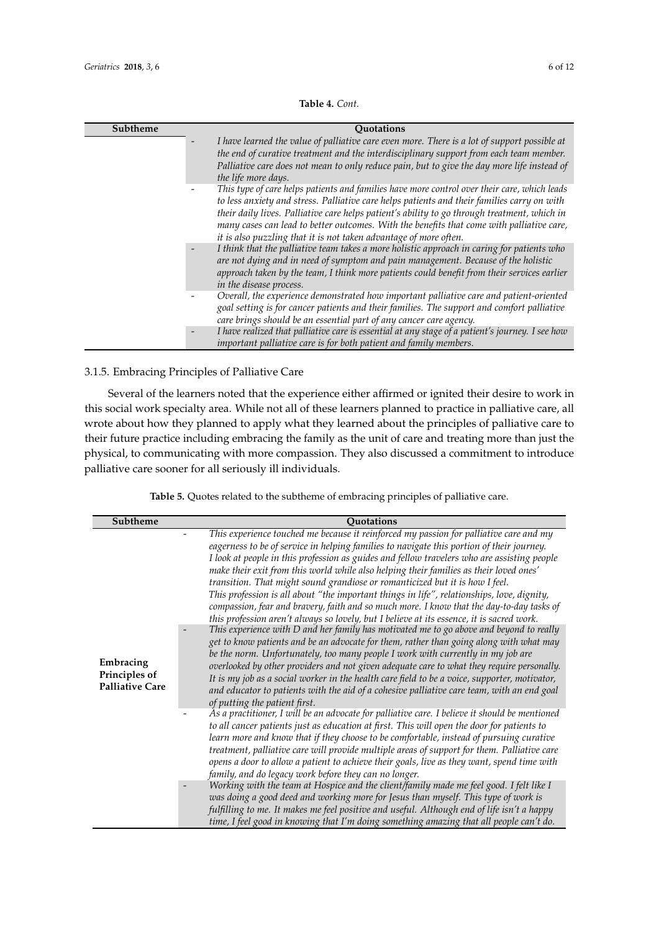| Subtheme | <b>Ouotations</b>                                                                                                                                                                                                                                                                                                                                                                                                                                             |
|----------|---------------------------------------------------------------------------------------------------------------------------------------------------------------------------------------------------------------------------------------------------------------------------------------------------------------------------------------------------------------------------------------------------------------------------------------------------------------|
|          | I have learned the value of palliative care even more. There is a lot of support possible at<br>the end of curative treatment and the interdisciplinary support from each team member.<br>Palliative care does not mean to only reduce pain, but to give the day more life instead of<br>the life more days.                                                                                                                                                  |
|          | This type of care helps patients and families have more control over their care, which leads<br>to less anxiety and stress. Palliative care helps patients and their families carry on with<br>their daily lives. Palliative care helps patient's ability to go through treatment, which in<br>many cases can lead to better outcomes. With the benefits that come with palliative care,<br>it is also puzzling that it is not taken advantage of more often. |
|          | I think that the palliative team takes a more holistic approach in caring for patients who<br>are not dying and in need of symptom and pain management. Because of the holistic<br>approach taken by the team, I think more patients could benefit from their services earlier<br>in the disease process.                                                                                                                                                     |
|          | Overall, the experience demonstrated how important palliative care and patient-oriented<br>goal setting is for cancer patients and their families. The support and comfort palliative<br>care brings should be an essential part of any cancer care agency.                                                                                                                                                                                                   |
|          | I have realized that palliative care is essential at any stage of a patient's journey. I see how<br>important palliative care is for both patient and family members.                                                                                                                                                                                                                                                                                         |

## **Table 4.** *Cont.*

# 3.1.5. Embracing Principles of Palliative Care

Several of the learners noted that the experience either affirmed or ignited their desire to work in this social work specialty area. While not all of these learners planned to practice in palliative care, all wrote about how they planned to apply what they learned about the principles of palliative care to their future practice including embracing the family as the unit of care and treating more than just the physical, to communicating with more compassion. They also discussed a commitment to introduce palliative care sooner for all seriously ill individuals.

| Table 5. Quotes related to the subtheme of embracing principles of palliative care |  |  |  |  |  |
|------------------------------------------------------------------------------------|--|--|--|--|--|
|------------------------------------------------------------------------------------|--|--|--|--|--|

| Subtheme                                             | <b>Ouotations</b>                                                                                                                                                                                                                                                                                                                                                                                                                                                                                                                                                                                                                                                                                                                                                                                                                                                                                                                                                                                                                                                                                                                                                                                                                                                                                                                                           |
|------------------------------------------------------|-------------------------------------------------------------------------------------------------------------------------------------------------------------------------------------------------------------------------------------------------------------------------------------------------------------------------------------------------------------------------------------------------------------------------------------------------------------------------------------------------------------------------------------------------------------------------------------------------------------------------------------------------------------------------------------------------------------------------------------------------------------------------------------------------------------------------------------------------------------------------------------------------------------------------------------------------------------------------------------------------------------------------------------------------------------------------------------------------------------------------------------------------------------------------------------------------------------------------------------------------------------------------------------------------------------------------------------------------------------|
| Embracing<br>Principles of<br><b>Palliative Care</b> | This experience touched me because it reinforced my passion for palliative care and my<br>eagerness to be of service in helping families to navigate this portion of their journey.<br>I look at people in this profession as guides and fellow travelers who are assisting people<br>make their exit from this world while also helping their families as their loved ones'<br>transition. That might sound grandiose or romanticized but it is how I feel.<br>This profession is all about "the important things in life", relationships, love, dignity,<br>compassion, fear and bravery, faith and so much more. I know that the day-to-day tasks of<br>this profession aren't always so lovely, but I believe at its essence, it is sacred work.<br>This experience with D and her family has motivated me to go above and beyond to really<br>get to know patients and be an advocate for them, rather than going along with what may<br>be the norm. Unfortunately, too many people I work with currently in my job are<br>overlooked by other providers and not given adequate care to what they require personally.<br>It is my job as a social worker in the health care field to be a voice, supporter, motivator,<br>and educator to patients with the aid of a cohesive palliative care team, with an end goal<br>of putting the patient first. |
|                                                      | As a practitioner, I will be an advocate for palliative care. I believe it should be mentioned<br>to all cancer patients just as education at first. This will open the door for patients to<br>learn more and know that if they choose to be comfortable, instead of pursuing curative<br>treatment, palliative care will provide multiple areas of support for them. Palliative care<br>opens a door to allow a patient to achieve their goals, live as they want, spend time with<br>family, and do legacy work before they can no longer.                                                                                                                                                                                                                                                                                                                                                                                                                                                                                                                                                                                                                                                                                                                                                                                                               |
|                                                      | Working with the team at Hospice and the client/family made me feel good. I felt like I<br>was doing a good deed and working more for Jesus than myself. This type of work is<br>fulfilling to me. It makes me feel positive and useful. Although end of life isn't a happy<br>time, I feel good in knowing that I'm doing something amazing that all people can't do.                                                                                                                                                                                                                                                                                                                                                                                                                                                                                                                                                                                                                                                                                                                                                                                                                                                                                                                                                                                      |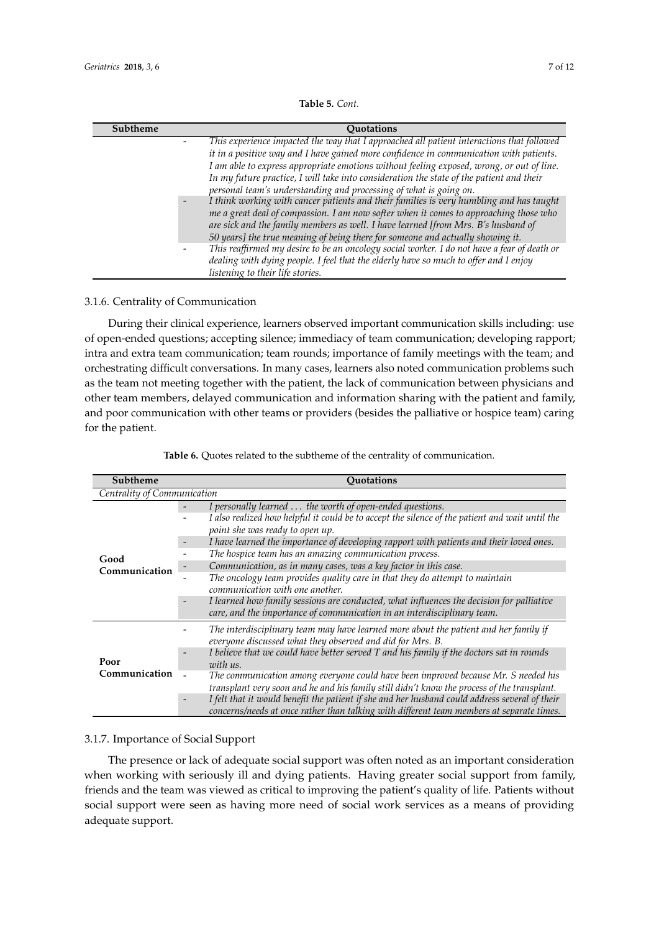| <b>Table 5.</b> Cont. |  |
|-----------------------|--|
|-----------------------|--|

| Subtheme | <b>Ouotations</b>                                                                           |
|----------|---------------------------------------------------------------------------------------------|
|          | This experience impacted the way that I approached all patient interactions that followed   |
|          | it in a positive way and I have gained more confidence in communication with patients.      |
|          | I am able to express appropriate emotions without feeling exposed, wrong, or out of line.   |
|          | In my future practice, I will take into consideration the state of the patient and their    |
|          | personal team's understanding and processing of what is going on.                           |
|          | I think working with cancer patients and their families is very humbling and has taught     |
|          | me a great deal of compassion. I am now softer when it comes to approaching those who       |
|          | are sick and the family members as well. I have learned [from Mrs. B's husband of           |
|          | 50 years] the true meaning of being there for someone and actually showing it.              |
|          | This reaffirmed my desire to be an oncology social worker. I do not have a fear of death or |
|          | dealing with dying people. I feel that the elderly have so much to offer and I enjoy        |
|          | listening to their life stories.                                                            |

## 3.1.6. Centrality of Communication

During their clinical experience, learners observed important communication skills including: use of open-ended questions; accepting silence; immediacy of team communication; developing rapport; intra and extra team communication; team rounds; importance of family meetings with the team; and orchestrating difficult conversations. In many cases, learners also noted communication problems such as the team not meeting together with the patient, the lack of communication between physicians and other team members, delayed communication and information sharing with the patient and family, and poor communication with other teams or providers (besides the palliative or hospice team) caring for the patient.

| Subtheme                    | <b>Ouotations</b>                                                                                                                                                                                                                                                                                                                                                                                                                                                                                                                                                                                                                                                                                               |  |
|-----------------------------|-----------------------------------------------------------------------------------------------------------------------------------------------------------------------------------------------------------------------------------------------------------------------------------------------------------------------------------------------------------------------------------------------------------------------------------------------------------------------------------------------------------------------------------------------------------------------------------------------------------------------------------------------------------------------------------------------------------------|--|
| Centrality of Communication |                                                                                                                                                                                                                                                                                                                                                                                                                                                                                                                                                                                                                                                                                                                 |  |
| Good<br>Communication       | I personally learned  the worth of open-ended questions.<br>I also realized how helpful it could be to accept the silence of the patient and wait until the<br>point she was ready to open up.<br>I have learned the importance of developing rapport with patients and their loved ones.<br>The hospice team has an amazing communication process.<br>Communication, as in many cases, was a key factor in this case.<br>The oncology team provides quality care in that they do attempt to maintain<br>communication with one another.<br>I learned how family sessions are conducted, what influences the decision for palliative<br>care, and the importance of communication in an interdisciplinary team. |  |
| Poor<br>Communication       | The interdisciplinary team may have learned more about the patient and her family if<br>everyone discussed what they observed and did for Mrs. B.<br>I believe that we could have better served T and his family if the doctors sat in rounds<br>$\overline{\phantom{a}}$<br>with us.<br>The communication among everyone could have been improved because Mr. S needed his<br>transplant very soon and he and his family still didn't know the process of the transplant.<br>I felt that it would benefit the patient if she and her husband could address several of their<br>concerns/needs at once rather than talking with different team members at separate times.                                       |  |

**Table 6.** Quotes related to the subtheme of the centrality of communication.

## 3.1.7. Importance of Social Support

The presence or lack of adequate social support was often noted as an important consideration when working with seriously ill and dying patients. Having greater social support from family, friends and the team was viewed as critical to improving the patient's quality of life. Patients without social support were seen as having more need of social work services as a means of providing adequate support.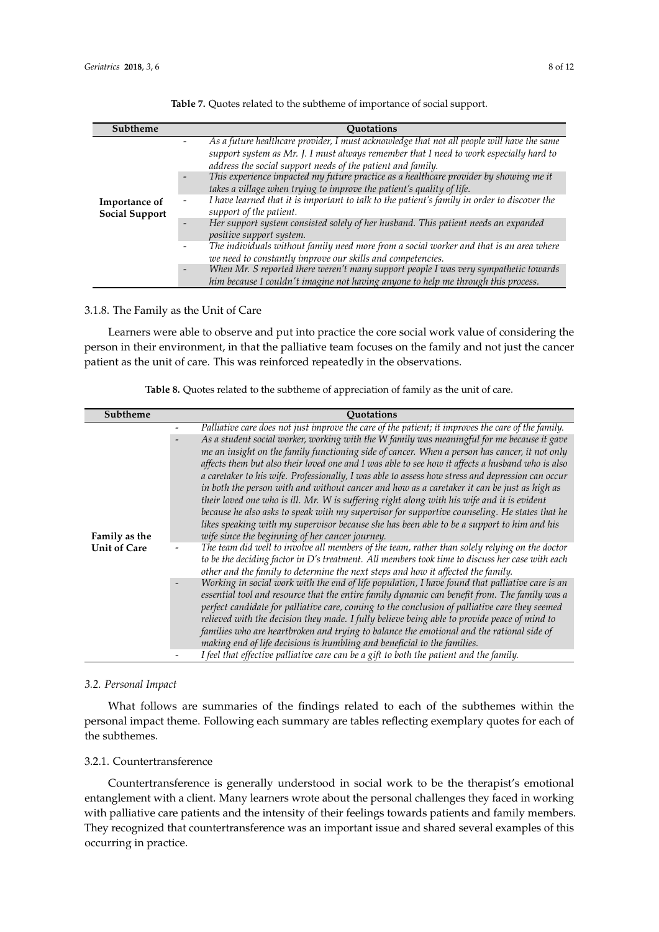| Subtheme                               | <b>Ouotations</b>                                                                                                                                                                                                                                                                                                                                                                                                                                                                                                                                                                                                                                                                                                                                                                                                                                       |
|----------------------------------------|---------------------------------------------------------------------------------------------------------------------------------------------------------------------------------------------------------------------------------------------------------------------------------------------------------------------------------------------------------------------------------------------------------------------------------------------------------------------------------------------------------------------------------------------------------------------------------------------------------------------------------------------------------------------------------------------------------------------------------------------------------------------------------------------------------------------------------------------------------|
| Importance of<br><b>Social Support</b> | As a future healthcare provider, I must acknowledge that not all people will have the same<br>support system as Mr. J. I must always remember that I need to work especially hard to<br>address the social support needs of the patient and family.<br>This experience impacted my future practice as a healthcare provider by showing me it<br>takes a village when trying to improve the patient's quality of life.<br>I have learned that it is important to talk to the patient's family in order to discover the<br>support of the patient.<br>Her support system consisted solely of her husband. This patient needs an expanded<br>$\overline{\phantom{a}}$<br>positive support system.<br>The individuals without family need more from a social worker and that is an area where<br>we need to constantly improve our skills and competencies. |
|                                        | When Mr. S reported there weren't many support people I was very sympathetic towards<br>$\overline{\phantom{a}}$<br>him because I couldn't imagine not having anyone to help me through this process.                                                                                                                                                                                                                                                                                                                                                                                                                                                                                                                                                                                                                                                   |

**Table 7.** Quotes related to the subtheme of importance of social support.

# 3.1.8. The Family as the Unit of Care

Learners were able to observe and put into practice the core social work value of considering the person in their environment, in that the palliative team focuses on the family and not just the cancer patient as the unit of care. This was reinforced repeatedly in the observations.

| Table 8. Quotes related to the subtheme of appreciation of family as the unit of care. |  |  |
|----------------------------------------------------------------------------------------|--|--|
|----------------------------------------------------------------------------------------|--|--|

| Subtheme            | <b>Ouotations</b>                                                                                  |
|---------------------|----------------------------------------------------------------------------------------------------|
|                     | Palliative care does not just improve the care of the patient; it improves the care of the family. |
|                     | As a student social worker, working with the W family was meaningful for me because it gave        |
|                     | me an insight on the family functioning side of cancer. When a person has cancer, it not only      |
|                     | affects them but also their loved one and I was able to see how it affects a husband who is also   |
|                     | a caretaker to his wife. Professionally, I was able to assess how stress and depression can occur  |
|                     | in both the person with and without cancer and how as a caretaker it can be just as high as        |
|                     | their loved one who is ill. Mr. W is suffering right along with his wife and it is evident         |
|                     | because he also asks to speak with my supervisor for supportive counseling. He states that he      |
|                     | likes speaking with my supervisor because she has been able to be a support to him and his         |
| Family as the       | wife since the beginning of her cancer journey.                                                    |
| <b>Unit of Care</b> | The team did well to involve all members of the team, rather than solely relying on the doctor     |
|                     | to be the deciding factor in D's treatment. All members took time to discuss her case with each    |
|                     | other and the family to determine the next steps and how it affected the family.                   |
|                     | Working in social work with the end of life population, I have found that palliative care is an    |
|                     | essential tool and resource that the entire family dynamic can benefit from. The family was a      |
|                     | perfect candidate for palliative care, coming to the conclusion of palliative care they seemed     |
|                     | relieved with the decision they made. I fully believe being able to provide peace of mind to       |
|                     | families who are heartbroken and trying to balance the emotional and the rational side of          |
|                     | making end of life decisions is humbling and beneficial to the families.                           |
|                     | I feel that effective palliative care can be a gift to both the patient and the family.            |

## *3.2. Personal Impact*

What follows are summaries of the findings related to each of the subthemes within the personal impact theme. Following each summary are tables reflecting exemplary quotes for each of the subthemes.

## 3.2.1. Countertransference

Countertransference is generally understood in social work to be the therapist's emotional entanglement with a client. Many learners wrote about the personal challenges they faced in working with palliative care patients and the intensity of their feelings towards patients and family members. They recognized that countertransference was an important issue and shared several examples of this occurring in practice.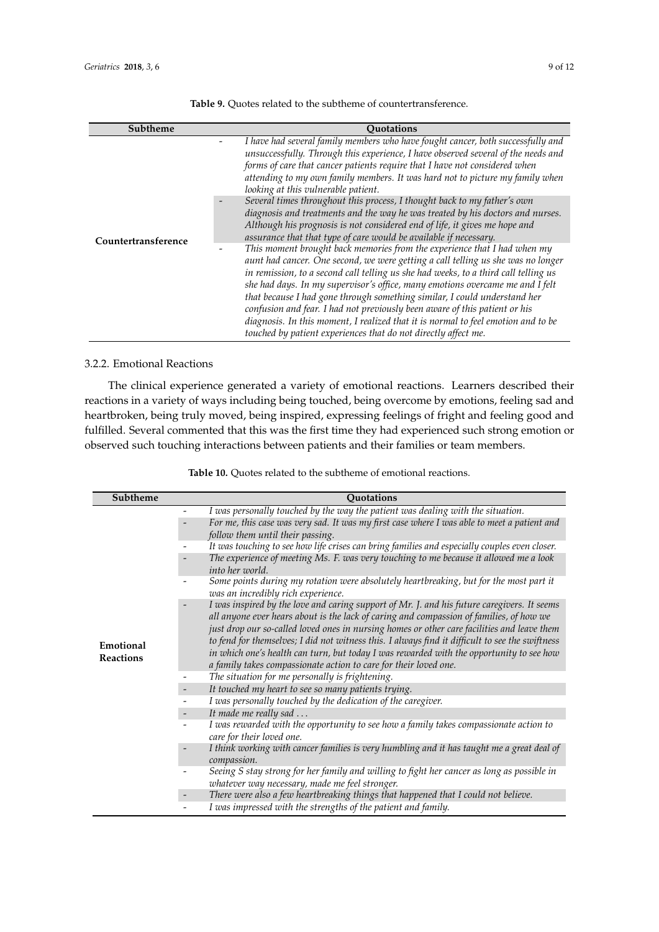| Subtheme            | <b>Ouotations</b>                                                                                                                                                                                                                                                                                                                                                                                                                                                                                                                                                                                                                                                                                                                                                                                                                                                                                                                                                                                                                                                                                                                                                                                                                                                                   |  |  |
|---------------------|-------------------------------------------------------------------------------------------------------------------------------------------------------------------------------------------------------------------------------------------------------------------------------------------------------------------------------------------------------------------------------------------------------------------------------------------------------------------------------------------------------------------------------------------------------------------------------------------------------------------------------------------------------------------------------------------------------------------------------------------------------------------------------------------------------------------------------------------------------------------------------------------------------------------------------------------------------------------------------------------------------------------------------------------------------------------------------------------------------------------------------------------------------------------------------------------------------------------------------------------------------------------------------------|--|--|
| Countertransference | I have had several family members who have fought cancer, both successfully and<br>unsuccessfully. Through this experience, I have observed several of the needs and<br>forms of care that cancer patients require that I have not considered when<br>attending to my own family members. It was hard not to picture my family when<br>looking at this vulnerable patient.<br>Several times throughout this process, I thought back to my father's own<br>diagnosis and treatments and the way he was treated by his doctors and nurses.<br>Although his prognosis is not considered end of life, it gives me hope and<br>assurance that that type of care would be available if necessary.<br>This moment brought back memories from the experience that I had when my<br>aunt had cancer. One second, we were getting a call telling us she was no longer<br>in remission, to a second call telling us she had weeks, to a third call telling us<br>she had days. In my supervisor's office, many emotions overcame me and I felt<br>that because I had gone through something similar, I could understand her<br>confusion and fear. I had not previously been aware of this patient or his<br>diagnosis. In this moment, I realized that it is normal to feel emotion and to be |  |  |
|                     | touched by patient experiences that do not directly affect me.                                                                                                                                                                                                                                                                                                                                                                                                                                                                                                                                                                                                                                                                                                                                                                                                                                                                                                                                                                                                                                                                                                                                                                                                                      |  |  |

**Table 9.** Quotes related to the subtheme of countertransference.

# 3.2.2. Emotional Reactions

The clinical experience generated a variety of emotional reactions. Learners described their reactions in a variety of ways including being touched, being overcome by emotions, feeling sad and heartbroken, being truly moved, being inspired, expressing feelings of fright and feeling good and fulfilled. Several commented that this was the first time they had experienced such strong emotion or observed such touching interactions between patients and their families or team members.

| Table 10. Quotes related to the subtheme of emotional reactions. |  |  |  |
|------------------------------------------------------------------|--|--|--|
|------------------------------------------------------------------|--|--|--|

| Subtheme                      | Quotations                                                                                                                                                                                                                                                                                                                                                                                                                                                                                                                                               |
|-------------------------------|----------------------------------------------------------------------------------------------------------------------------------------------------------------------------------------------------------------------------------------------------------------------------------------------------------------------------------------------------------------------------------------------------------------------------------------------------------------------------------------------------------------------------------------------------------|
|                               | I was personally touched by the way the patient was dealing with the situation.                                                                                                                                                                                                                                                                                                                                                                                                                                                                          |
|                               | For me, this case was very sad. It was my first case where I was able to meet a patient and<br>follow them until their passing.                                                                                                                                                                                                                                                                                                                                                                                                                          |
|                               | It was touching to see how life crises can bring families and especially couples even closer.                                                                                                                                                                                                                                                                                                                                                                                                                                                            |
|                               | The experience of meeting Ms. F. was very touching to me because it allowed me a look<br>into her world.                                                                                                                                                                                                                                                                                                                                                                                                                                                 |
|                               | Some points during my rotation were absolutely heartbreaking, but for the most part it<br>was an incredibly rich experience.                                                                                                                                                                                                                                                                                                                                                                                                                             |
| Emotional<br><b>Reactions</b> | I was inspired by the love and caring support of Mr. J. and his future caregivers. It seems<br>all anyone ever hears about is the lack of caring and compassion of families, of how we<br>just drop our so-called loved ones in nursing homes or other care facilities and leave them<br>to fend for themselves; I did not witness this. I always find it difficult to see the swiftness<br>in which one's health can turn, but today I was rewarded with the opportunity to see how<br>a family takes compassionate action to care for their loved one. |
|                               | The situation for me personally is frightening.                                                                                                                                                                                                                                                                                                                                                                                                                                                                                                          |
|                               | It touched my heart to see so many patients trying.                                                                                                                                                                                                                                                                                                                                                                                                                                                                                                      |
|                               | I was personally touched by the dedication of the caregiver.                                                                                                                                                                                                                                                                                                                                                                                                                                                                                             |
|                               | It made me really sad                                                                                                                                                                                                                                                                                                                                                                                                                                                                                                                                    |
|                               | I was rewarded with the opportunity to see how a family takes compassionate action to<br>care for their loved one.                                                                                                                                                                                                                                                                                                                                                                                                                                       |
|                               | I think working with cancer families is very humbling and it has taught me a great deal of<br>compassion.                                                                                                                                                                                                                                                                                                                                                                                                                                                |
|                               | Seeing S stay strong for her family and willing to fight her cancer as long as possible in<br>whatever way necessary, made me feel stronger.                                                                                                                                                                                                                                                                                                                                                                                                             |
|                               | There were also a few heartbreaking things that happened that I could not believe.                                                                                                                                                                                                                                                                                                                                                                                                                                                                       |
|                               | I was impressed with the strengths of the patient and family.                                                                                                                                                                                                                                                                                                                                                                                                                                                                                            |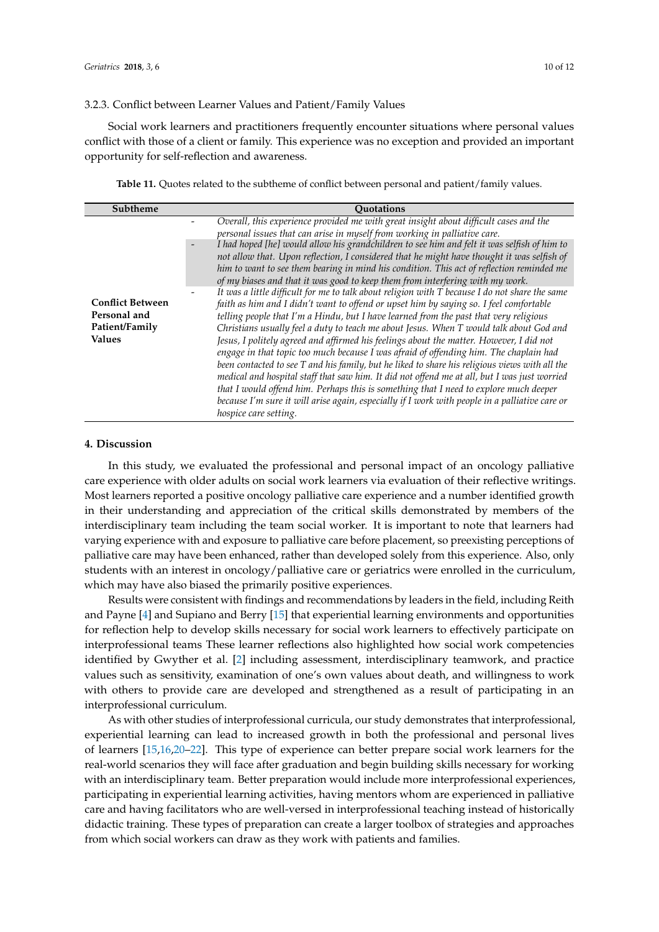### 3.2.3. Conflict between Learner Values and Patient/Family Values

Social work learners and practitioners frequently encounter situations where personal values conflict with those of a client or family. This experience was no exception and provided an important opportunity for self-reflection and awareness.

**Table 11.** Quotes related to the subtheme of conflict between personal and patient/family values.

<span id="page-9-0"></span>

| Subtheme                                                                   | <b>Ouotations</b>                                                                                                                                                                                                                                                                                                                                                                                                                                                                                                                                                                                                                                                                                                                                                                                                                                                                                                                                                                        |
|----------------------------------------------------------------------------|------------------------------------------------------------------------------------------------------------------------------------------------------------------------------------------------------------------------------------------------------------------------------------------------------------------------------------------------------------------------------------------------------------------------------------------------------------------------------------------------------------------------------------------------------------------------------------------------------------------------------------------------------------------------------------------------------------------------------------------------------------------------------------------------------------------------------------------------------------------------------------------------------------------------------------------------------------------------------------------|
|                                                                            | Overall, this experience provided me with great insight about difficult cases and the<br>personal issues that can arise in myself from working in palliative care.                                                                                                                                                                                                                                                                                                                                                                                                                                                                                                                                                                                                                                                                                                                                                                                                                       |
|                                                                            | I had hoped [he] would allow his grandchildren to see him and felt it was selfish of him to<br>not allow that. Upon reflection, I considered that he might have thought it was selfish of<br>him to want to see them bearing in mind his condition. This act of reflection reminded me<br>of my biases and that it was good to keep them from interfering with my work.                                                                                                                                                                                                                                                                                                                                                                                                                                                                                                                                                                                                                  |
| <b>Conflict Between</b><br>Personal and<br>Patient/Family<br><b>Values</b> | It was a little difficult for me to talk about religion with $T$ because I do not share the same<br>faith as him and I didn't want to offend or upset him by saying so. I feel comfortable<br>telling people that I'm a Hindu, but I have learned from the past that very religious<br>Christians usually feel a duty to teach me about Jesus. When T would talk about God and<br>Jesus, I politely agreed and affirmed his feelings about the matter. However, I did not<br>engage in that topic too much because I was afraid of offending him. The chaplain had<br>been contacted to see T and his family, but he liked to share his religious views with all the<br>medical and hospital staff that saw him. It did not offend me at all, but I was just worried<br>that I would offend him. Perhaps this is something that I need to explore much deeper<br>because I'm sure it will arise again, especially if I work with people in a palliative care or<br>hospice care setting. |

## **4. Discussion**

In this study, we evaluated the professional and personal impact of an oncology palliative care experience with older adults on social work learners via evaluation of their reflective writings. Most learners reported a positive oncology palliative care experience and a number identified growth in their understanding and appreciation of the critical skills demonstrated by members of the interdisciplinary team including the team social worker. It is important to note that learners had varying experience with and exposure to palliative care before placement, so preexisting perceptions of palliative care may have been enhanced, rather than developed solely from this experience. Also, only students with an interest in oncology/palliative care or geriatrics were enrolled in the curriculum, which may have also biased the primarily positive experiences.

Results were consistent with findings and recommendations by leaders in the field, including Reith and Payne [\[4\]](#page-11-0) and Supiano and Berry [\[15\]](#page-11-8) that experiential learning environments and opportunities for reflection help to develop skills necessary for social work learners to effectively participate on interprofessional teams These learner reflections also highlighted how social work competencies identified by Gwyther et al. [\[2\]](#page-10-1) including assessment, interdisciplinary teamwork, and practice values such as sensitivity, examination of one's own values about death, and willingness to work with others to provide care are developed and strengthened as a result of participating in an interprofessional curriculum.

As with other studies of interprofessional curricula, our study demonstrates that interprofessional, experiential learning can lead to increased growth in both the professional and personal lives of learners [\[15,](#page-11-8)[16,](#page-11-11)[20](#page-11-10)[–22\]](#page-11-12). This type of experience can better prepare social work learners for the real-world scenarios they will face after graduation and begin building skills necessary for working with an interdisciplinary team. Better preparation would include more interprofessional experiences, participating in experiential learning activities, having mentors whom are experienced in palliative care and having facilitators who are well-versed in interprofessional teaching instead of historically didactic training. These types of preparation can create a larger toolbox of strategies and approaches from which social workers can draw as they work with patients and families.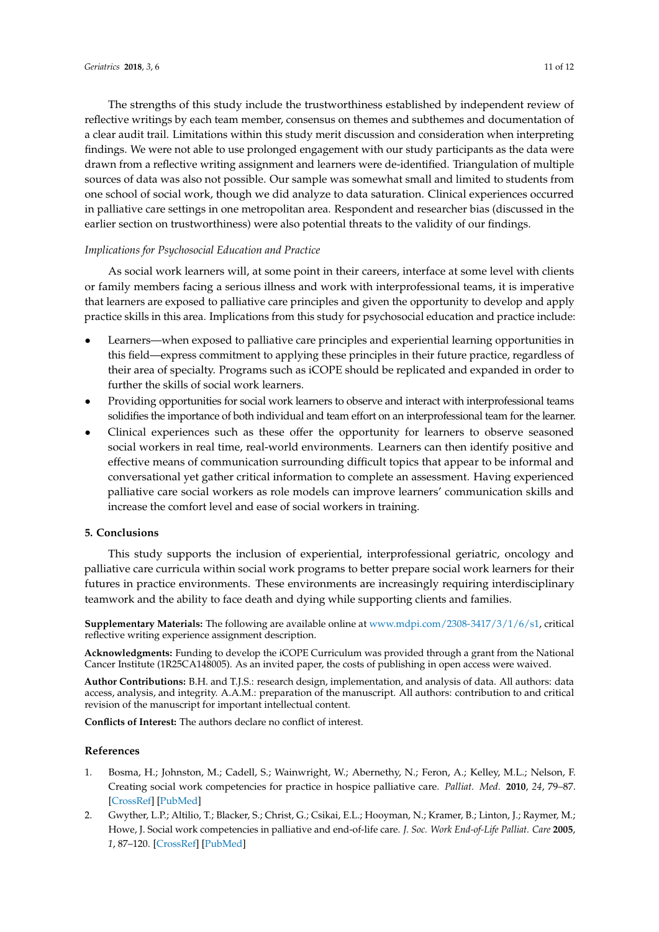The strengths of this study include the trustworthiness established by independent review of reflective writings by each team member, consensus on themes and subthemes and documentation of a clear audit trail. Limitations within this study merit discussion and consideration when interpreting findings. We were not able to use prolonged engagement with our study participants as the data were drawn from a reflective writing assignment and learners were de-identified. Triangulation of multiple sources of data was also not possible. Our sample was somewhat small and limited to students from one school of social work, though we did analyze to data saturation. Clinical experiences occurred in palliative care settings in one metropolitan area. Respondent and researcher bias (discussed in the earlier section on trustworthiness) were also potential threats to the validity of our findings.

# *Implications for Psychosocial Education and Practice*

As social work learners will, at some point in their careers, interface at some level with clients or family members facing a serious illness and work with interprofessional teams, it is imperative that learners are exposed to palliative care principles and given the opportunity to develop and apply practice skills in this area. Implications from this study for psychosocial education and practice include:

- Learners—when exposed to palliative care principles and experiential learning opportunities in this field—express commitment to applying these principles in their future practice, regardless of their area of specialty. Programs such as iCOPE should be replicated and expanded in order to further the skills of social work learners.
- Providing opportunities for social work learners to observe and interact with interprofessional teams solidifies the importance of both individual and team effort on an interprofessional team for the learner.
- Clinical experiences such as these offer the opportunity for learners to observe seasoned social workers in real time, real-world environments. Learners can then identify positive and effective means of communication surrounding difficult topics that appear to be informal and conversational yet gather critical information to complete an assessment. Having experienced palliative care social workers as role models can improve learners' communication skills and increase the comfort level and ease of social workers in training.

# **5. Conclusions**

This study supports the inclusion of experiential, interprofessional geriatric, oncology and palliative care curricula within social work programs to better prepare social work learners for their futures in practice environments. These environments are increasingly requiring interdisciplinary teamwork and the ability to face death and dying while supporting clients and families.

**Supplementary Materials:** The following are available online at [www.mdpi.com/2308-3417/3/1/6/s1,](www.mdpi.com/2308-3417/3/1/6/s1) critical reflective writing experience assignment description.

**Acknowledgments:** Funding to develop the iCOPE Curriculum was provided through a grant from the National Cancer Institute (1R25CA148005). As an invited paper, the costs of publishing in open access were waived.

**Author Contributions:** B.H. and T.J.S.: research design, implementation, and analysis of data. All authors: data access, analysis, and integrity. A.A.M.: preparation of the manuscript. All authors: contribution to and critical revision of the manuscript for important intellectual content.

**Conflicts of Interest:** The authors declare no conflict of interest.

# **References**

- <span id="page-10-0"></span>1. Bosma, H.; Johnston, M.; Cadell, S.; Wainwright, W.; Abernethy, N.; Feron, A.; Kelley, M.L.; Nelson, F. Creating social work competencies for practice in hospice palliative care. *Palliat. Med.* **2010**, *24*, 79–87. [\[CrossRef\]](http://dx.doi.org/10.1177/0269216309346596) [\[PubMed\]](http://www.ncbi.nlm.nih.gov/pubmed/19843621)
- <span id="page-10-1"></span>2. Gwyther, L.P.; Altilio, T.; Blacker, S.; Christ, G.; Csikai, E.L.; Hooyman, N.; Kramer, B.; Linton, J.; Raymer, M.; Howe, J. Social work competencies in palliative and end-of-life care. *J. Soc. Work End-of-Life Palliat. Care* **2005**, *1*, 87–120. [\[CrossRef\]](http://dx.doi.org/10.1300/J457v01n01_06) [\[PubMed\]](http://www.ncbi.nlm.nih.gov/pubmed/17387058)